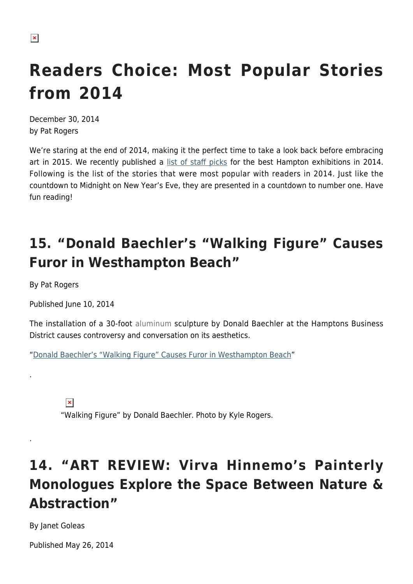# **Readers Choice: Most Popular Stories from 2014**

December 30, 2014 by Pat Rogers

We're staring at the end of 2014, making it the perfect time to take a look back before embracing art in 2015. We recently published a [list of staff picks](https://hamptonsarthub.com/2014/12/29/favorites-for-2014/) for the best Hampton exhibitions in 2014. Following is the list of the stories that were most popular with readers in 2014. Just like the countdown to Midnight on New Year's Eve, they are presented in a countdown to number one. Have fun reading!

# **15. "Donald Baechler's "Walking Figure" Causes Furor in Westhampton Beach"**

By Pat Rogers

.

.

Published June 10, 2014

The installation of a 30-foot aluminum sculpture by Donald Baechler at the Hamptons Business District causes controversy and conversation on its aesthetics.

"[Donald Baechler's "Walking Figure" Causes Furor in Westhampton Beach](https://hamptonsarthub.com/2014/06/10/donald-baechler-walking-figure/)"

 $\pmb{\times}$ 

"Walking Figure" by Donald Baechler. Photo by Kyle Rogers.

## **14. "ART REVIEW: Virva Hinnemo's Painterly Monologues Explore the Space Between Nature & Abstraction"**

By Janet Goleas

Published May 26, 2014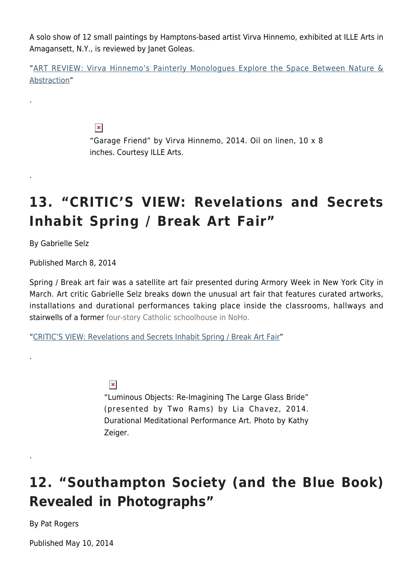A solo show of 12 small paintings by Hamptons-based artist Virva Hinnemo, exhibited at ILLE Arts in Amagansett, N.Y., is reviewed by Janet Goleas.

"[ART REVIEW: Virva Hinnemo's Painterly Monologues Explore the Space Between Nature &](https://hamptonsarthub.com/2014/05/26/art-review-virva-hinnemos-painterly-monologues/) [Abstraction](https://hamptonsarthub.com/2014/05/26/art-review-virva-hinnemos-painterly-monologues/)"

 $\pmb{\times}$ 

"Garage Friend" by Virva Hinnemo, 2014. Oil on linen, 10 x 8 inches. Courtesy ILLE Arts.

# **13. "CRITIC'S VIEW: Revelations and Secrets Inhabit Spring / Break Art Fair"**

By Gabrielle Selz

.

.

.

.

Published March 8, 2014

Spring / Break art fair was a satellite art fair presented during Armory Week in New York City in March. Art critic Gabrielle Selz breaks down the unusual art fair that features curated artworks, installations and durational performances taking place inside the classrooms, hallways and stairwells of a former four-story Catholic schoolhouse in NoHo.

"[CRITIC'S VIEW: Revelations and Secrets Inhabit Spring / Break Art Fair](https://hamptonsarthub.com/2014/03/08/revelations-and-secrets-inhabit-spring-break-art-fair/)"

 $\pmb{\times}$ 

"Luminous Objects: Re-Imagining The Large Glass Bride" (presented by Two Rams) by Lia Chavez, 2014. Durational Meditational Performance Art. Photo by Kathy Zeiger.

## **12. "Southampton Society (and the Blue Book) Revealed in Photographs"**

By Pat Rogers

Published May 10, 2014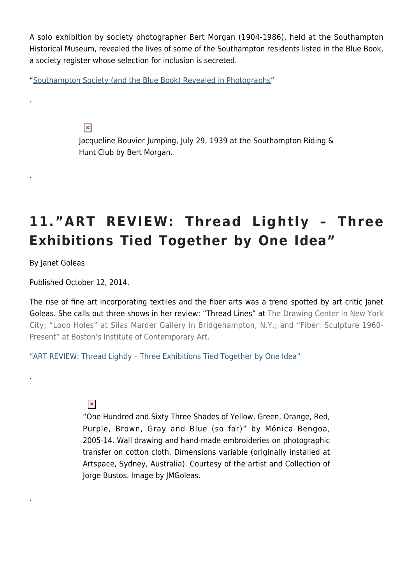A solo exhibition by society photographer Bert Morgan (1904-1986), held at the Southampton Historical Museum, revealed the lives of some of the Southampton residents listed in the Blue Book, a society register whose selection for inclusion is secreted.

"[Southampton Society \(and the Blue Book\) Revealed in Photographs](https://hamptonsarthub.com/2014/05/10/southampton-blue-book-revealed-in-photographs/)"

 $\pmb{\times}$ 

Jacqueline Bouvier Jumping, July 29, 1939 at the Southampton Riding & Hunt Club by Bert Morgan.

# **11."ART REVIEW: Thread Lightly – Three Exhibitions Tied Together by One Idea"**

By Janet Goleas

.

.

.

.

Published October 12, 2014.

The rise of fine art incorporating textiles and the fiber arts was a trend spotted by art critic Janet Goleas. She calls out three shows in her review: "Thread Lines" at The Drawing Center in New York City; "Loop Holes" at Silas Marder Gallery in Bridgehampton, N.Y.; and "Fiber: Sculpture 1960- Present" at Boston's Institute of Contemporary Art.

["ART REVIEW: Thread Lightly – Three Exhibitions Tied Together by One Idea"](https://hamptonsarthub.com/2014/10/14/art-review-thread-lightly-three-exhibitions-tied-together-by-one-idea/)

 $\pmb{\times}$ 

"One Hundred and Sixty Three Shades of Yellow, Green, Orange, Red, Purple, Brown, Gray and Blue (so far)" by Mónica Bengoa, 2005-14. Wall drawing and hand-made embroideries on photographic transfer on cotton cloth. Dimensions variable (originally installed at Artspace, Sydney, Australia). Courtesy of the artist and Collection of Jorge Bustos. Image by JMGoleas.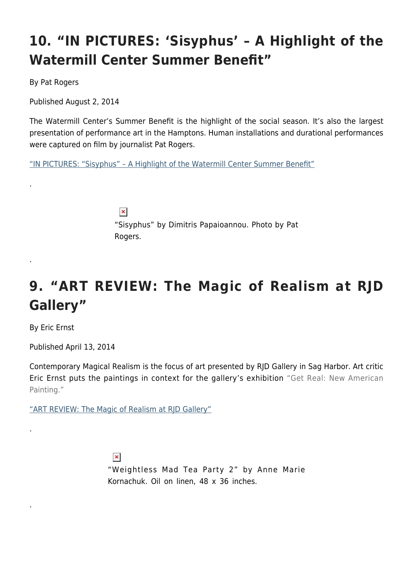# **10. "IN PICTURES: 'Sisyphus' – A Highlight of the Watermill Center Summer Benefit"**

By Pat Rogers

.

.

.

.

Published August 2, 2014

The Watermill Center's Summer Benefit is the highlight of the social season. It's also the largest presentation of performance art in the Hamptons. Human installations and durational performances were captured on film by journalist Pat Rogers.

["IN PICTURES: "Sisyphus" – A Highlight of the Watermill Center Summer Benefit"](https://hamptonsarthub.com/2014/08/02/in-pictures-sisyphus-a-watermill-center-benefit-highlight/)

 $\pmb{\times}$ "Sisyphus" by Dimitris Papaioannou. Photo by Pat Rogers.

# **9. "ART REVIEW: The Magic of Realism at RJD Gallery"**

By Eric Ernst

Published April 13, 2014

Contemporary Magical Realism is the focus of art presented by RJD Gallery in Sag Harbor. Art critic Eric Ernst puts the paintings in context for the gallery's exhibition "Get Real: New American Painting."

["ART REVIEW: The Magic of Realism at RJD Gallery"](https://hamptonsarthub.com/2014/04/13/art-review-the-magic-of-realism-at-demato-gallery/)

 $\pmb{\times}$ "Weightless Mad Tea Party 2" by Anne Marie Kornachuk. Oil on linen, 48 x 36 inches.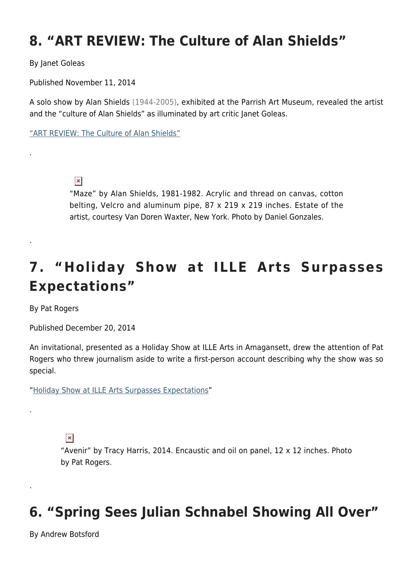#### **8. "ART REVIEW: The Culture of Alan Shields"**

By Janet Goleas

.

.

.

.

Published November 11, 2014

A solo show by Alan Shields (1944-2005), exhibited at the Parrish Art Museum, revealed the artist and the "culture of Alan Shields" as illuminated by art critic Janet Goleas.

["ART REVIEW: The Culture of Alan Shields"](https://hamptonsarthub.com/2014/11/11/art-review-the-culture-of-alan-shields/)

 $\pmb{\times}$ 

"Maze" by Alan Shields, 1981-1982. Acrylic and thread on canvas, cotton belting, Velcro and aluminum pipe, 87 x 219 x 219 inches. Estate of the artist, courtesy Van Doren Waxter, New York. Photo by Daniel Gonzales.

## **7. "Holiday Show at ILLE Arts Surpasses Expectations"**

By Pat Rogers

Published December 20, 2014

An invitational, presented as a Holiday Show at ILLE Arts in Amagansett, drew the attention of Pat Rogers who threw journalism aside to write a first-person account describing why the show was so special.

"[Holiday Show at ILLE Arts Surpasses Expectations"](https://hamptonsarthub.com/2014/12/20/holiday-show-at-ille-arts-surpasses-expectations/)

 $\pmb{\times}$ 

"Avenir" by Tracy Harris, 2014. Encaustic and oil on panel, 12 x 12 inches. Photo by Pat Rogers.

## **6. "Spring Sees Julian Schnabel Showing All Over"**

By Andrew Botsford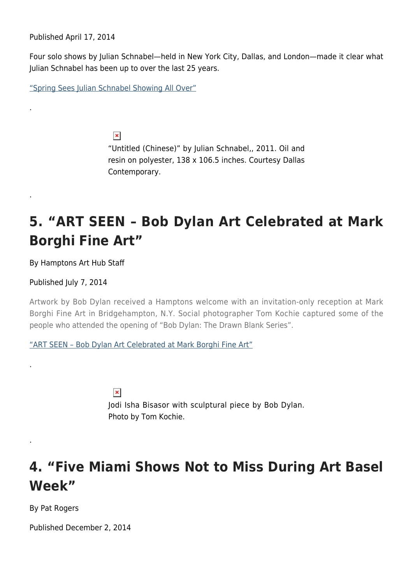Published April 17, 2014

.

.

.

.

Four solo shows by Julian Schnabel—held in New York City, Dallas, and London—made it clear what Julian Schnabel has been up to over the last 25 years.

["Spring Sees Julian Schnabel Showing All Over"](https://hamptonsarthub.com/2014/04/17/spring-sees-julian-schnabel-showing-all-over/)

 $\pmb{\times}$ "Untitled (Chinese)" by Julian Schnabel,, 2011. Oil and resin on polyester, 138 x 106.5 inches. Courtesy Dallas Contemporary.

#### **5. "ART SEEN – Bob Dylan Art Celebrated at Mark Borghi Fine Art"**

By Hamptons Art Hub Staff

Published July 7, 2014

Artwork by Bob Dylan received a Hamptons welcome with an invitation-only reception at Mark Borghi Fine Art in Bridgehampton, N.Y. Social photographer Tom Kochie captured some of the people who attended the opening of "Bob Dylan: The Drawn Blank Series".

["ART SEEN – Bob Dylan Art Celebrated at Mark Borghi Fine Art"](https://hamptonsarthub.com/2014/07/07/art-seen-bob-dylan-art-celebrated-at-mark-borghi-fine-art/)

 $\pmb{\times}$ Jodi Isha Bisasor with sculptural piece by Bob Dylan. Photo by Tom Kochie.

#### **4. "Five Miami Shows Not to Miss During Art Basel Week"**

By Pat Rogers

Published December 2, 2014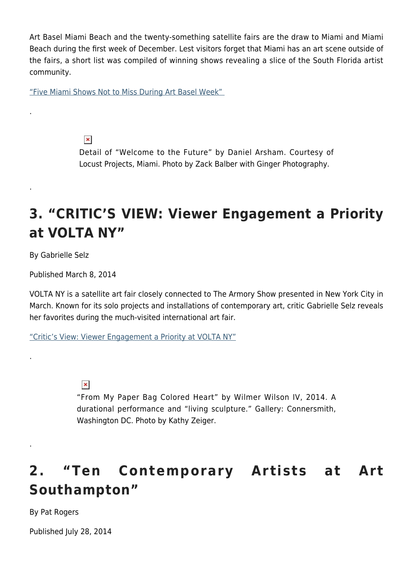Art Basel Miami Beach and the twenty-something satellite fairs are the draw to Miami and Miami Beach during the first week of December. Lest visitors forget that Miami has an art scene outside of the fairs, a short list was compiled of winning shows revealing a slice of the South Florida artist community.

["Five Miami Shows Not to Miss During Art Basel Week"](https://hamptonsarthub.com/2014/12/02/five-miami-shows-not-to-miss-during-art-basel-week/) 

 $\pmb{\times}$ 

Detail of "Welcome to the Future" by Daniel Arsham. Courtesy of Locust Projects, Miami. Photo by Zack Balber with Ginger Photography.

#### **3. "CRITIC'S VIEW: Viewer Engagement a Priority at VOLTA NY"**

By Gabrielle Selz

.

.

.

.

Published March 8, 2014

VOLTA NY is a satellite art fair closely connected to The Armory Show presented in New York City in March. Known for its solo projects and installations of contemporary art, critic Gabrielle Selz reveals her favorites during the much-visited international art fair.

["Critic's View: Viewer Engagement a Priority at VOLTA NY"](https://hamptonsarthub.com/2014/03/08/viewer-engagement-priority-at-volta/)

 $\pmb{\times}$ 

"From My Paper Bag Colored Heart" by Wilmer Wilson IV, 2014. A durational performance and "living sculpture." Gallery: Connersmith, Washington DC. Photo by Kathy Zeiger.

## **2. "Ten Contemporary Artists at Art Southampton"**

By Pat Rogers

Published July 28, 2014